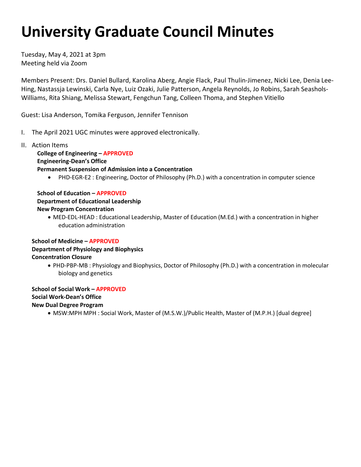# **University Graduate Council Minutes**

Tuesday, May 4, 2021 at 3pm Meeting held via Zoom

Members Present: Drs. Daniel Bullard, Karolina Aberg, Angie Flack, Paul Thulin-Jimenez, Nicki Lee, Denia Lee-Hing, Nastassja Lewinski, Carla Nye, Luiz Ozaki, Julie Patterson, Angela Reynolds, Jo Robins, Sarah Seashols-Williams, Rita Shiang, Melissa Stewart, Fengchun Tang, Colleen Thoma, and Stephen Vitiello

Guest: Lisa Anderson, Tomika Ferguson, Jennifer Tennison

- I. The April 2021 UGC minutes were approved electronically.
- II. Action Items

**College of Engineering – APPROVED Engineering-Dean's Office Permanent Suspension of Admission into a Concentration**

• PHD-EGR-E2 : Engineering, Doctor of Philosophy (Ph.D.) with a concentration in computer science

# **School of Education – APPROVED**

# **Department of Educational Leadership**

# **New Program Concentration**

• MED-EDL-HEAD : Educational Leadership, Master of Education (M.Ed.) with a concentration in higher education administration

# **School of Medicine – APPROVED Department of Physiology and Biophysics**

# **Concentration Closure**

• PHD-PBP-MB : Physiology and Biophysics, Doctor of Philosophy (Ph.D.) with a concentration in molecular biology and genetics

**School of Social Work – APPROVED Social Work-Dean's Office New Dual Degree Program**

• MSW:MPH MPH : Social Work, Master of (M.S.W.)/Public Health, Master of (M.P.H.) [dual degree]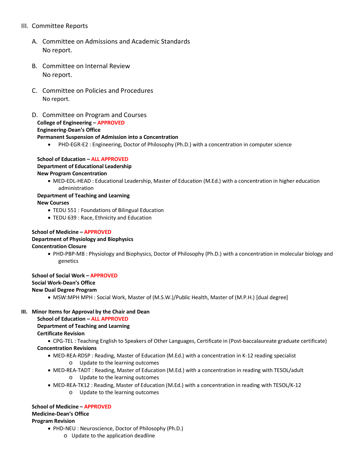# III. Committee Reports

- A. Committee on Admissions and Academic Standards No report.
- B. Committee on Internal Review No report.
- C. Committee on Policies and Procedures No report.
- D. Committee on Program and Courses **College of Engineering – APPROVED Engineering-Dean's Office Permanent Suspension of Admission into a Concentration**
	- PHD-EGR-E2 : Engineering, Doctor of Philosophy (Ph.D.) with a concentration in computer science

#### **School of Education – ALL APPROVED Department of Educational Leadership New Program Concentration**

• MED-EDL-HEAD : Educational Leadership, Master of Education (M.Ed.) with a concentration in higher education administration

# **Department of Teaching and Learning**

**New Courses**

- TEDU 551 : Foundations of Bilingual Education
- TEDU 639 : Race, Ethnicity and Education

#### **School of Medicine – APPROVED**

#### **Department of Physiology and Biophysics**

#### **Concentration Closure**

• PHD-PBP-MB : Physiology and Biophysics, Doctor of Philosophy (Ph.D.) with a concentration in molecular biology and genetics

**School of Social Work – APPROVED**

## **Social Work-Dean's Office**

## **New Dual Degree Program**

• MSW:MPH MPH : Social Work, Master of (M.S.W.)/Public Health, Master of (M.P.H.) [dual degree]

#### **III. Minor Items for Approval by the Chair and Dean**

**School of Education – ALL APPROVED**

#### **Department of Teaching and Learning**

**Certificate Revision**

- CPG-TEL : Teaching English to Speakers of Other Languages, Certificate in (Post-baccalaureate graduate certificate) **Concentration Revisions**
	- - MED-REA-RDSP : Reading, Master of Education (M.Ed.) with a concentration in K-12 reading specialist o Update to the learning outcomes
		- MED-REA-TADT : Reading, Master of Education (M.Ed.) with a concentration in reading with TESOL/adult o Update to the learning outcomes
		- MED-REA-TK12 : Reading, Master of Education (M.Ed.) with a concentration in reading with TESOL/K-12
			- o Update to the learning outcomes

#### **School of Medicine – APPROVED**

#### **Medicine-Dean's Office**

#### **Program Revision**

- PHD-NEU : Neuroscience, Doctor of Philosophy (Ph.D.)
	- o Update to the application deadline